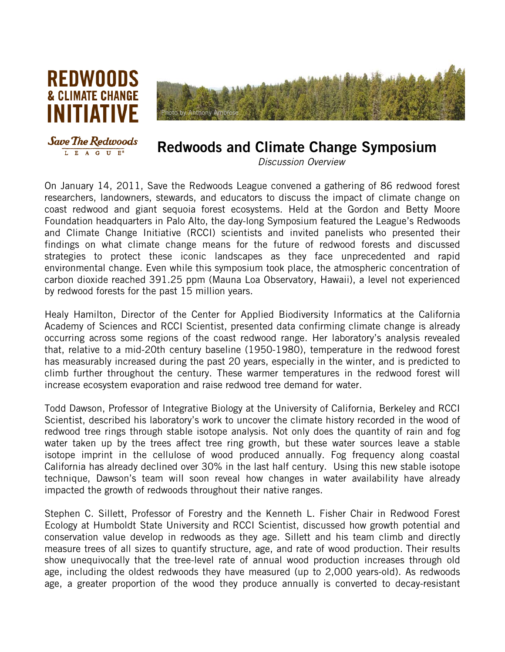



## Redwoods and Climate Change Symposium

*Discussion Overview*

On January 14, 2011, Save the Redwoods League convened a gathering of 86 redwood forest researchers, landowners, stewards, and educators to discuss the impact of climate change on coast redwood and giant sequoia forest ecosystems. Held at the Gordon and Betty Moore Foundation headquarters in Palo Alto, the day-long Symposium featured the League's Redwoods and Climate Change Initiative (RCCI) scientists and invited panelists who presented their findings on what climate change means for the future of redwood forests and discussed strategies to protect these iconic landscapes as they face unprecedented and rapid environmental change. Even while this symposium took place, the atmospheric concentration of carbon dioxide reached 391.25 ppm (Mauna Loa Observatory, Hawaii), a level not experienced by redwood forests for the past 15 million years.

Healy Hamilton, Director of the Center for Applied Biodiversity Informatics at the California Academy of Sciences and RCCI Scientist, presented data confirming climate change is already occurring across some regions of the coast redwood range. Her laboratory's analysis revealed that, relative to a mid-20th century baseline (1950-1980), temperature in the redwood forest has measurably increased during the past 20 years, especially in the winter, and is predicted to climb further throughout the century. These warmer temperatures in the redwood forest will increase ecosystem evaporation and raise redwood tree demand for water.

Todd Dawson, Professor of Integrative Biology at the University of California, Berkeley and RCCI Scientist, described his laboratory's work to uncover the climate history recorded in the wood of redwood tree rings through stable isotope analysis. Not only does the quantity of rain and fog water taken up by the trees affect tree ring growth, but these water sources leave a stable isotope imprint in the cellulose of wood produced annually. Fog frequency along coastal California has already declined over 30% in the last half century. Using this new stable isotope technique, Dawson's team will soon reveal how changes in water availability have already impacted the growth of redwoods throughout their native ranges.

Stephen C. Sillett, Professor of Forestry and the Kenneth L. Fisher Chair in Redwood Forest Ecology at Humboldt State University and RCCI Scientist, discussed how growth potential and conservation value develop in redwoods as they age. Sillett and his team climb and directly measure trees of all sizes to quantify structure, age, and rate of wood production. Their results show unequivocally that the tree-level rate of annual wood production increases through old age, including the oldest redwoods they have measured (up to 2,000 years-old). As redwoods age, a greater proportion of the wood they produce annually is converted to decay-resistant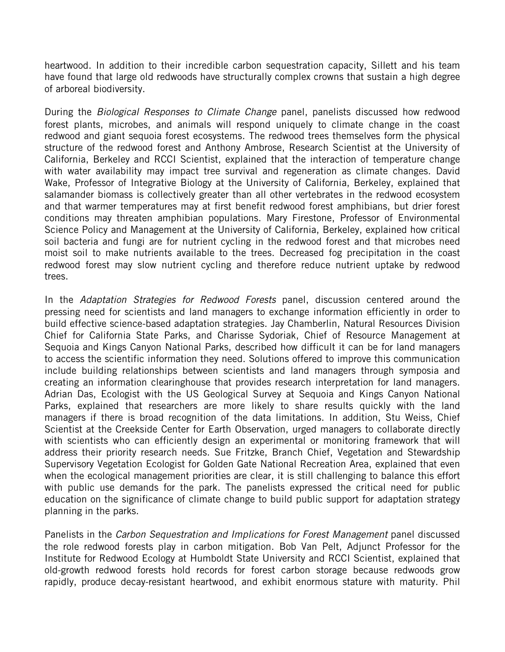heartwood. In addition to their incredible carbon sequestration capacity, Sillett and his team have found that large old redwoods have structurally complex crowns that sustain a high degree of arboreal biodiversity.

During the *Biological Responses to Climate Change* panel, panelists discussed how redwood forest plants, microbes, and animals will respond uniquely to climate change in the coast redwood and giant sequoia forest ecosystems. The redwood trees themselves form the physical structure of the redwood forest and Anthony Ambrose, Research Scientist at the University of California, Berkeley and RCCI Scientist, explained that the interaction of temperature change with water availability may impact tree survival and regeneration as climate changes. David Wake, Professor of Integrative Biology at the University of California, Berkeley, explained that salamander biomass is collectively greater than all other vertebrates in the redwood ecosystem and that warmer temperatures may at first benefit redwood forest amphibians, but drier forest conditions may threaten amphibian populations. Mary Firestone, Professor of Environmental Science Policy and Management at the University of California, Berkeley, explained how critical soil bacteria and fungi are for nutrient cycling in the redwood forest and that microbes need moist soil to make nutrients available to the trees. Decreased fog precipitation in the coast redwood forest may slow nutrient cycling and therefore reduce nutrient uptake by redwood trees.

In the *Adaptation Strategies for Redwood Forests* panel, discussion centered around the pressing need for scientists and land managers to exchange information efficiently in order to build effective science-based adaptation strategies. Jay Chamberlin, Natural Resources Division Chief for California State Parks, and Charisse Sydoriak, Chief of Resource Management at Sequoia and Kings Canyon National Parks, described how difficult it can be for land managers to access the scientific information they need. Solutions offered to improve this communication include building relationships between scientists and land managers through symposia and creating an information clearinghouse that provides research interpretation for land managers. Adrian Das, Ecologist with the US Geological Survey at Sequoia and Kings Canyon National Parks, explained that researchers are more likely to share results quickly with the land managers if there is broad recognition of the data limitations. In addition, Stu Weiss, Chief Scientist at the Creekside Center for Earth Observation, urged managers to collaborate directly with scientists who can efficiently design an experimental or monitoring framework that will address their priority research needs. Sue Fritzke, Branch Chief, Vegetation and Stewardship Supervisory Vegetation Ecologist for Golden Gate National Recreation Area, explained that even when the ecological management priorities are clear, it is still challenging to balance this effort with public use demands for the park. The panelists expressed the critical need for public education on the significance of climate change to build public support for adaptation strategy planning in the parks.

Panelists in the *Carbon Sequestration and Implications for Forest Management* panel discussed the role redwood forests play in carbon mitigation. Bob Van Pelt, Adjunct Professor for the Institute for Redwood Ecology at Humboldt State University and RCCI Scientist, explained that old-growth redwood forests hold records for forest carbon storage because redwoods grow rapidly, produce decay-resistant heartwood, and exhibit enormous stature with maturity. Phil